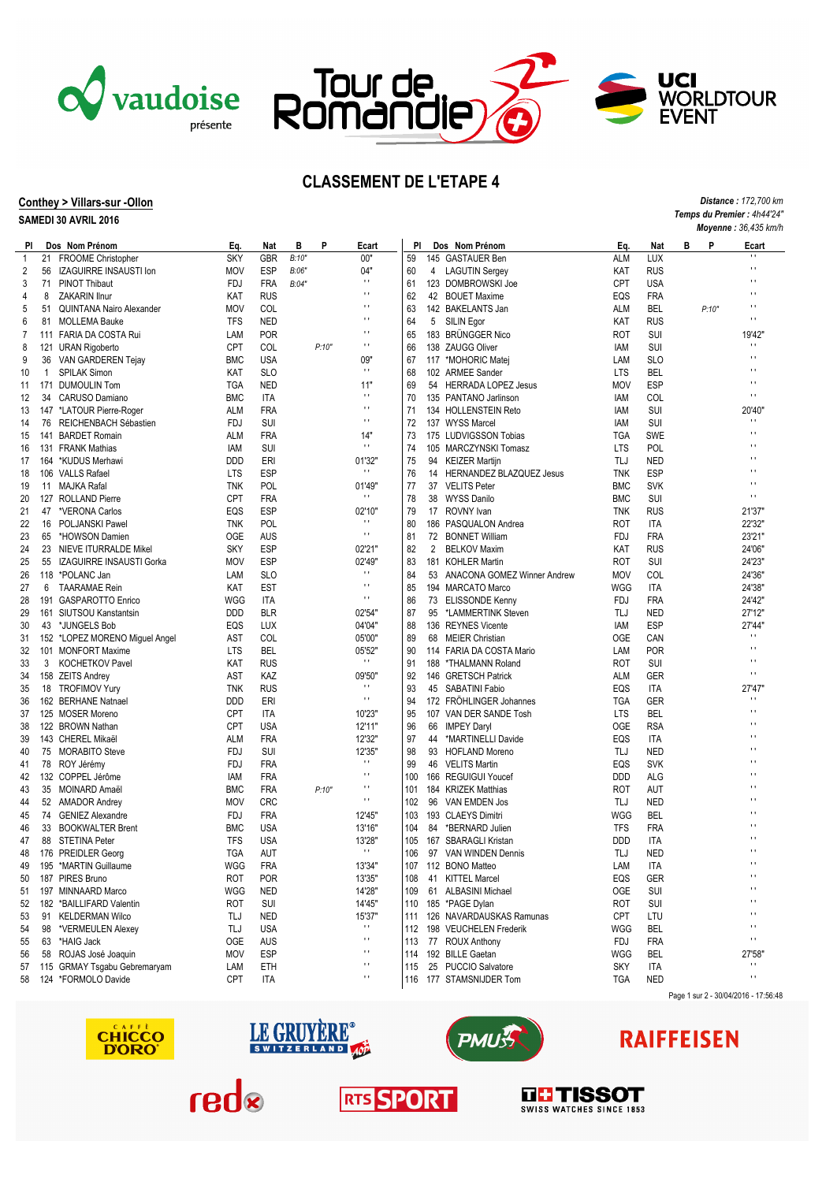



7

nour de<br>Romand

### **Conthey > Villars-sur -Ollon**

### **SAMEDI 30 AVRIL 2016**

| Moyenne: 36,435 km/h |     |                                      |            |            |       |       |                        |     |    |                                |            |            |   |       |                          |
|----------------------|-----|--------------------------------------|------------|------------|-------|-------|------------------------|-----|----|--------------------------------|------------|------------|---|-------|--------------------------|
| PI                   |     | Dos Nom Prénom                       | Eq.        | Nat        | в     | P     | Ecart                  | PI  |    | Dos Nom Prénom                 | Eq.        | Nat        | в | P     | Ecart                    |
| $\overline{1}$       |     | 21 FROOME Christopher                | <b>SKY</b> | GBR        | B:10" |       | 00'                    | 59  |    | 145 GASTAUER Ben               | ALM        | LUX        |   |       | $\blacksquare$           |
| 2                    | 56  | <b>IZAGUIRRE INSAUSTI Ion</b>        | <b>MOV</b> | ESP        | B:06" |       | 04"                    | 60  | 4  | <b>LAGUTIN Sergey</b>          | KAT        | RUS        |   |       | $\blacksquare$           |
| 3                    | 71  | <b>PINOT Thibaut</b>                 | <b>FDJ</b> | <b>FRA</b> | B:04" |       | $\mathbf{H}$           | 61  |    | 123 DOMBROWSKI Joe             | <b>CPT</b> | <b>USA</b> |   |       | $\blacksquare$           |
| 4                    | 8   | <b>ZAKARIN Ilnur</b>                 | KAT        | <b>RUS</b> |       |       | $\mathbf{r}$           | 62  |    | 42 BOUET Maxime                | EQS        | FRA        |   |       | $\blacksquare$           |
| 5                    | 51  | QUINTANA Nairo Alexander             | <b>MOV</b> | COL        |       |       | $\blacksquare$         | 63  |    | 142 BAKELANTS Jan              | ALM        | BEL        |   | P:10" | $\blacksquare$           |
| 6                    | 81  | <b>MOLLEMA Bauke</b>                 | <b>TFS</b> | <b>NED</b> |       |       | $\mathbf{H}$           | 64  |    | 5 SILIN Egor                   | KAT        | RUS        |   |       | $\blacksquare$           |
| 7                    |     | 111 FARIA DA COSTA Rui               | LAM        | <b>POR</b> |       |       | $\blacksquare$         | 65  |    | 183 BRUNGGER Nico              | ROT        | SUI        |   |       | 19'42"                   |
| 8                    | 121 | <b>URAN Rigoberto</b>                | <b>CPT</b> | COL        |       | P:10" | $\blacksquare$         | 66  |    | 138 ZAUGG Oliver               | IAM        | SUI        |   |       | $\blacksquare$           |
| 9                    | 36  | VAN GARDEREN Tejay                   | <b>BMC</b> | <b>USA</b> |       |       | 09"                    | 67  |    | 117 *MOHORIC Matej             | LAM        | <b>SLO</b> |   |       | $\blacksquare$           |
| 10                   | 1   | <b>SPILAK Simon</b>                  | KAT        | <b>SLO</b> |       |       | $\mathbf{H}$           | 68  |    | 102 ARMEE Sander               | <b>LTS</b> | BEL        |   |       | $\blacksquare$           |
| 11                   |     | 171 DUMOULIN Tom                     | <b>TGA</b> | <b>NED</b> |       |       | 11"                    | 69  |    | 54 HERRADA LOPEZ Jesus         | <b>MOV</b> | <b>ESP</b> |   |       | $\blacksquare$           |
| 12                   | 34  | CARUSO Damiano                       | <b>BMC</b> | ITA        |       |       | $\mathbf{H}$           | 70  |    | 135 PANTANO Jarlinson          | IAM        | <b>COL</b> |   |       | $\blacksquare$           |
| 13                   |     | 147 *LATOUR Pierre-Roger             | ALM        | FRA        |       |       | $\mathbf{H}$           | 71  |    | 134 HOLLENSTEIN Reto           | IAM        | SUI        |   |       | 20'40"                   |
| 14                   | 76  | REICHENBACH Sébastien                | <b>FDJ</b> | <b>SUI</b> |       |       | $\mathbf{H}$           | 72  |    | 137 WYSS Marcel                | IAM        | SUI        |   |       | $\blacksquare$           |
| 15                   |     | 141 BARDET Romain                    | ALM        | FRA        |       |       | 14"                    | 73  |    | 175 LUDVIGSSON Tobias          | <b>TGA</b> | <b>SWE</b> |   |       | $\blacksquare$           |
| 16                   |     | 131 FRANK Mathias                    | iam        | <b>SUI</b> |       |       | $\mathbf{H}$           | 74  |    | 105 MARCZYNSKI Tomasz          | <b>LTS</b> | <b>POL</b> |   |       | $\blacksquare$           |
| 17                   |     | 164 *KUDUS Merhawi                   | <b>DDD</b> | ERI        |       |       | 01'32"                 | 75  |    | 94 KEIZER Martijn              | TLJ        | <b>NED</b> |   |       | $\blacksquare$           |
|                      |     | 106 VALLS Rafael                     | <b>LTS</b> | ESP        |       |       | $\mathbf{H}$           | 76  |    |                                | <b>TNK</b> | <b>ESP</b> |   |       | $\blacksquare$           |
| 18                   |     |                                      |            |            |       |       |                        |     |    | 14 HERNANDEZ BLAZQUEZ Jesus    |            |            |   |       | $\blacksquare$           |
| 19                   |     | 11 MAJKA Rafal<br>127 ROLLAND Pierre | <b>TNK</b> | <b>POL</b> |       |       | 01'49"<br>$\mathbf{H}$ | 77  |    | 37 VELITS Peter                | <b>BMC</b> | <b>SVK</b> |   |       | $\blacksquare$           |
| 20                   |     |                                      | <b>CPT</b> | FRA        |       |       |                        | 78  |    | 38 WYSS Danilo                 | <b>BMC</b> | SUI        |   |       |                          |
| 21                   | 47  | *VERONA Carlos                       | EQS        | <b>ESP</b> |       |       | 02'10"<br>$\mathbf{L}$ | 79  |    | 17 ROVNY Ivan                  | <b>TNK</b> | <b>RUS</b> |   |       | 21'37"                   |
| 22                   | 16  | POLJANSKI Pawel                      | <b>TNK</b> | POL        |       |       | $\mathbf{r}$           | 80  |    | 186 PASQUALON Andrea           | <b>ROT</b> | <b>ITA</b> |   |       | 22'32"                   |
| 23                   | 65  | *HOWSON Damien                       | <b>OGE</b> | AUS        |       |       |                        | 81  |    | 72 BONNET William              | <b>FDJ</b> | FRA        |   |       | 23'21"                   |
| 24                   | 23  | <b>NIEVE ITURRALDE Mikel</b>         | <b>SKY</b> | ESP        |       |       | 02'21"                 | 82  | 2  | <b>BELKOV Maxim</b>            | KAT        | RUS        |   |       | 24'06"                   |
| 25                   | 55  | IZAGUIRRE INSAUSTI Gorka             | <b>MOV</b> | ESP        |       |       | 02'49"<br>$\mathbf{H}$ | 83  |    | 181 KOHLER Martin              | <b>ROT</b> | SUI        |   |       | 24'23"                   |
| 26                   |     | 118 *POLANC Jan                      | LAM        | <b>SLO</b> |       |       | $\mathbf{H}$           | 84  |    | 53 ANACONA GOMEZ Winner Andrew | <b>MOV</b> | COL        |   |       | 24'36"                   |
| 27                   | 6   | <b>TAARAMAE Rein</b>                 | KAT        | <b>EST</b> |       |       | $\mathbf{H}$           | 85  |    | 194 MARCATO Marco              | WGG        | <b>ITA</b> |   |       | 24'38"                   |
| 28                   |     | 191 GASPAROTTO Enrico                | WGG        | ITA        |       |       |                        | 86  |    | 73 ELISSONDE Kenny             | <b>FDJ</b> | FRA        |   |       | 24'42"                   |
| 29                   |     | 161 SIUTSOU Kanstantsin              | <b>DDD</b> | BLR        |       |       | 02'54"                 | 87  |    | 95 *LAMMERTINK Steven          | TLJ        | <b>NED</b> |   |       | 27'12"                   |
| 30                   | 43  | *JUNGELS Bob                         | EQS        | LUX        |       |       | 04'04"                 | 88  |    | 136 REYNES Vicente             | IAM        | <b>ESP</b> |   |       | 27'44"                   |
| 31                   |     | 152 *LOPEZ MORENO Miguel Angel       | AST        | COL        |       |       | 05'00"                 | 89  |    | 68 MEIER Christian             | <b>OGE</b> | CAN        |   |       | $\blacksquare$           |
| 32                   |     | 101 MONFORT Maxime                   | <b>LTS</b> | BEL        |       |       | 05'52"                 | 90  |    | 114 FARIA DA COSTA Mario       | LAM        | <b>POR</b> |   |       | $\blacksquare$           |
| 33                   | 3   | <b>KOCHETKOV Pavel</b>               | KAT        | <b>RUS</b> |       |       | $\pm$                  | 91  |    | 188 *THALMANN Roland           | <b>ROT</b> | SUI        |   |       | $\blacksquare$           |
| 34                   |     | 158 ZEITS Andrey                     | AST        | KAZ        |       |       | 09'50"                 | 92  |    | 146 GRETSCH Patrick            | <b>ALM</b> | GER        |   |       | $\blacksquare$           |
| 35                   |     | 18 TROFIMOV Yury                     | <b>TNK</b> | <b>RUS</b> |       |       | $\blacksquare$         | 93  |    | 45 SABATINI Fabio              | EQS        | <b>ITA</b> |   |       | 27'47"                   |
| 36                   |     | 162 BERHANE Natnael                  | <b>DDD</b> | ERI        |       |       | $\mathbf{H}$           | 94  |    | 172 FROHLINGER Johannes        | <b>TGA</b> | GER        |   |       | $\blacksquare$           |
| 37                   |     | 125 MOSER Moreno                     | <b>CPT</b> | ITA        |       |       | 10'23"                 | 95  |    | 107 VAN DER SANDE Tosh         | <b>LTS</b> | BEL        |   |       | $\blacksquare$           |
| 38                   |     | 122 BROWN Nathan                     | <b>CPT</b> | <b>USA</b> |       |       | 12'11"                 | 96  |    | 66 IMPEY Daryl                 | <b>OGE</b> | <b>RSA</b> |   |       | $\blacksquare$           |
| 39                   |     | 143 CHEREL Mikaël                    | ALM        | FRA        |       |       | 12'32"                 | 97  |    | 44 *MARTINELLI Davide          | EQS        | ITA        |   |       | $\blacksquare$           |
| 40                   | 75  | <b>MORABITO Steve</b>                | FDJ        | <b>SUI</b> |       |       | 12'35"                 | 98  |    | 93 HOFLAND Moreno              | TLJ        | <b>NED</b> |   |       | $\blacksquare$           |
| 41                   |     | 78 ROY Jérémy                        | FDJ        | <b>FRA</b> |       |       | $\mathbf{H}$           | 99  |    | 46 VELITS Martin               | EQS        | <b>SVK</b> |   |       | $\blacksquare$           |
| 42                   |     | 132 COPPEL Jérôme                    | IAM        | FRA        |       |       | $\mathbf{H}$           | 100 |    | 166 REGUIGUI Youcef            | <b>DDD</b> | ALG        |   |       | $\blacksquare$           |
| 43                   |     | 35 MOINARD Amaël                     | <b>BMC</b> | <b>FRA</b> |       | P:10" | $\blacksquare$         | 101 |    | 184 KRIZEK Matthias            | <b>ROT</b> | AUT        |   |       | $\blacksquare$           |
| 44                   | 52  | <b>AMADOR Andrey</b>                 | <b>MOV</b> | <b>CRC</b> |       |       | $\mathbf{H}$           | 102 |    | 96 VAN EMDEN Jos               | TLJ        | <b>NED</b> |   |       | $\blacksquare$           |
| 45                   |     | 74 GENIEZ Alexandre                  | <b>FDJ</b> | <b>FRA</b> |       |       | 12'45"                 | 103 |    | 193 CLAEYS Dimitri             | WGG        | BEL        |   |       | $\blacksquare$           |
| 46                   | 33  | <b>BOOKWALTER Brent</b>              | <b>BMC</b> | <b>USA</b> |       |       | 13'16"                 | 104 | 84 | *BERNARD Julien                | <b>TFS</b> | FRA        |   |       | $\blacksquare$           |
| 47                   |     | 88 STETINA Peter                     | <b>TFS</b> | <b>USA</b> |       |       | 13'28"                 | 105 |    | 167 SBARAGLI Kristan           | <b>DDD</b> | <b>ITA</b> |   |       | $\blacksquare$           |
| 48                   |     | 176 PREIDLER Georg                   | <b>TGA</b> | AUT        |       |       | $\blacksquare$         | 106 |    | 97 VAN WINDEN Dennis           | TLJ        | <b>NED</b> |   |       | $\overline{\phantom{a}}$ |
| 49                   |     | 195 *MARTIN Guillaume                | WGG        | <b>FRA</b> |       |       | 13'34"                 |     |    | 107 112 BONO Matteo            | LAM        | ITA        |   |       | $\mathbf{H}$             |
| 50                   |     | 187 PIRES Bruno                      | ROT        | <b>POR</b> |       |       | 13'35"                 | 108 |    | 41 KITTEL Marcel               | EQS        | GER        |   |       | $\bar{\mathbf{r}}$ (     |
| 51                   |     | 197 MINNAARD Marco                   | WGG        | <b>NED</b> |       |       | 14'28"                 | 109 |    | 61 ALBASINI Michael            | OGE        | SUI        |   |       | $\blacksquare$           |
| 52                   |     | 182 *BAILLIFARD Valentin             | <b>ROT</b> | <b>SUI</b> |       |       | 14'45"                 | 110 |    | 185 *PAGE Dylan                | ROT        | SUI        |   |       | $\mathbf{H}$             |
| 53                   |     | 91 KELDERMAN Wilco                   | TLJ        | <b>NED</b> |       |       | 15'37"                 | 111 |    | 126 NAVARDAUSKAS Ramunas       | CPT        | LTU        |   |       | $\blacksquare$           |
| 54                   | 98  | *VERMEULEN Alexey                    | TLJ        | <b>USA</b> |       |       | $\mathbf{L}$           | 112 |    | 198 VEUCHELEN Frederik         | WGG        | BEL        |   |       | $\mathbf{H}$             |
| 55                   |     | 63 *HAIG Jack                        | <b>OGE</b> | AUS        |       |       | $\mathbf{r}$           | 113 |    | 77 ROUX Anthony                | FDJ        | <b>FRA</b> |   |       | $\mathbf{r}$             |
| 56                   | 58  | ROJAS José Joaquin                   | <b>MOV</b> | ESP        |       |       | $\mathbf{r}$           | 114 |    | 192 BILLE Gaetan               | WGG        | BEL        |   |       | 27'58"                   |
| 57                   |     | 115 GRMAY Tsgabu Gebremaryam         | LAM        | ETH        |       |       | $\blacksquare$         | 115 |    | 25 PUCCIO Salvatore            | <b>SKY</b> | ITA        |   |       | $\mathbf{H}$             |
| 58                   |     | 124 *FORMOLO Davide                  | <b>CPT</b> | ITA        |       |       | $\mathbf{r}$           | 116 |    | 177 STAMSNIJDER Tom            | <b>TGA</b> | <b>NED</b> |   |       | $\mathbf{r}$             |
|                      |     |                                      |            |            |       |       |                        |     |    |                                |            |            |   |       |                          |



*Distance : 172,700 km Temps du Premier : 4h44'24"*

**UCI<br>Worldtour<br>Event** 







# **RAIFFEISEN**